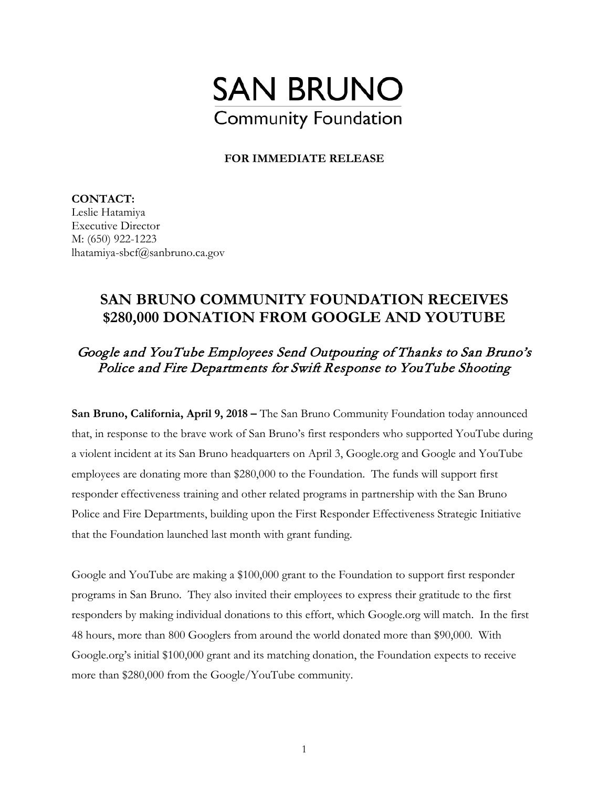

**FOR IMMEDIATE RELEASE**

**CONTACT:**  Leslie Hatamiya Executive Director M: (650) 922-1223 lhatamiya-sbcf@sanbruno.ca.gov

## **SAN BRUNO COMMUNITY FOUNDATION RECEIVES \$280,000 DONATION FROM GOOGLE AND YOUTUBE**

## Google and YouTube Employees Send Outpouring of Thanks to San Bruno's Police and Fire Departments for Swift Response to YouTube Shooting

**San Bruno, California, April 9, 2018 –** The San Bruno Community Foundation today announced that, in response to the brave work of San Bruno's first responders who supported YouTube during a violent incident at its San Bruno headquarters on April 3, Google.org and Google and YouTube employees are donating more than \$280,000 to the Foundation. The funds will support first responder effectiveness training and other related programs in partnership with the San Bruno Police and Fire Departments, building upon the First Responder Effectiveness Strategic Initiative that the Foundation launched last month with grant funding.

Google and YouTube are making a \$100,000 grant to the Foundation to support first responder programs in San Bruno. They also invited their employees to express their gratitude to the first responders by making individual donations to this effort, which Google.org will match. In the first 48 hours, more than 800 Googlers from around the world donated more than \$90,000. With Google.org's initial \$100,000 grant and its matching donation, the Foundation expects to receive more than \$280,000 from the Google/YouTube community.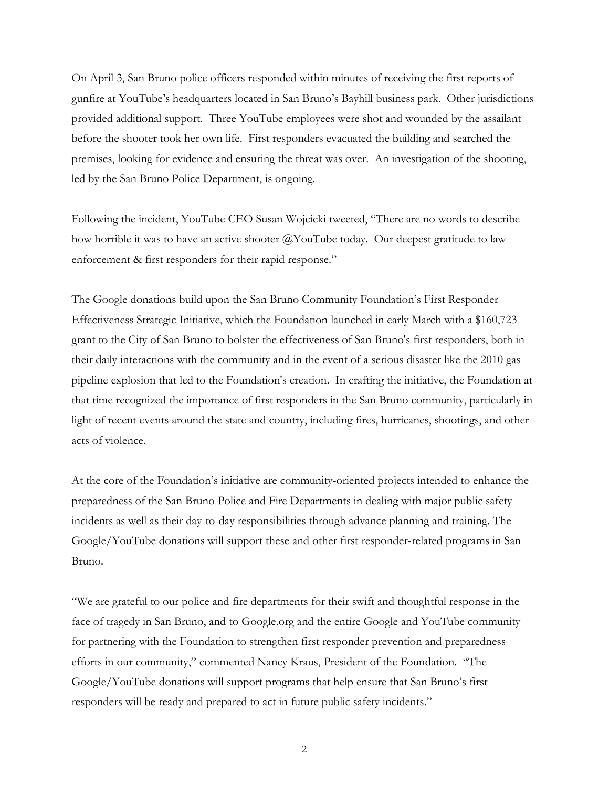On April 3, San Bruno police officers responded within minutes of receiving the first reports of gunfire at YouTube's headquarters located in San Bruno's Bayhill business park. Other jurisdictions provided additional support. Three YouTube employees were shot and wounded by the assailant before the shooter took her own life. First responders evacuated the building and searched the premises, looking for evidence and ensuring the threat was over. An investigation of the shooting, led by the San Bruno Police Department, is ongoing.

Following the incident, YouTube CEO Susan Wojcicki tweeted, "There are no words to describe how horrible it was to have an active shooter @YouTube today. Our deepest gratitude to law enforcement & first responders for their rapid response."

The Google donations build upon the San Bruno Community Foundation's First Responder Effectiveness Strategic Initiative, which the Foundation launched in early March with a \$160,723 grant to the City of San Bruno to bolster the effectiveness of San Bruno's first responders, both in their daily interactions with the community and in the event of a serious disaster like the 2010 gas pipeline explosion that led to the Foundation's creation. In crafting the initiative, the Foundation at that time recognized the importance of first responders in the San Bruno community, particularly in light of recent events around the state and country, including fires, hurricanes, shootings, and other acts of violence.

At the core of the Foundation's initiative are community-oriented projects intended to enhance the preparedness of the San Bruno Police and Fire Departments in dealing with major public safety incidents as well as their day-to-day responsibilities through advance planning and training. The Google/YouTube donations will support these and other first responder-related programs in San Bruno.

"We are grateful to our police and fire departments for their swift and thoughtful response in the face of tragedy in San Bruno, and to Google.org and the entire Google and YouTube community for partnering with the Foundation to strengthen first responder prevention and preparedness efforts in our community," commented Nancy Kraus, President of the Foundation. "The Google/YouTube donations will support programs that help ensure that San Bruno's first responders will be ready and prepared to act in future public safety incidents."

2